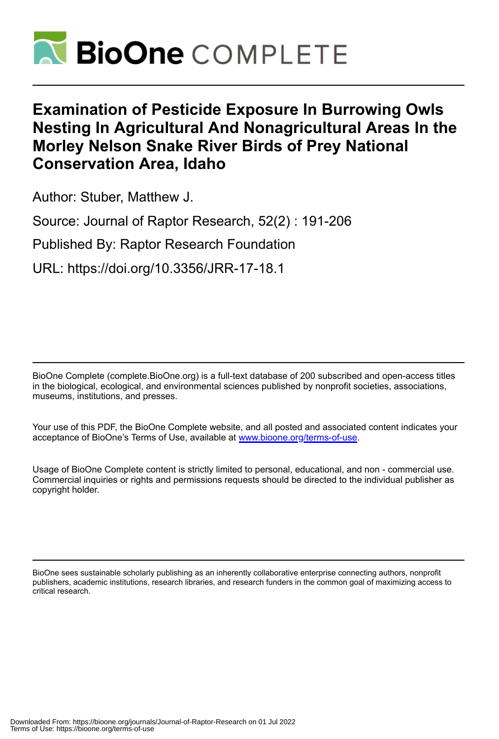

# **Examination of Pesticide Exposure In Burrowing Owls Nesting In Agricultural And Nonagricultural Areas In the Morley Nelson Snake River Birds of Prey National Conservation Area, Idaho**

Author: Stuber, Matthew J.

Source: Journal of Raptor Research, 52(2) : 191-206

Published By: Raptor Research Foundation

URL: https://doi.org/10.3356/JRR-17-18.1

BioOne Complete (complete.BioOne.org) is a full-text database of 200 subscribed and open-access titles in the biological, ecological, and environmental sciences published by nonprofit societies, associations, museums, institutions, and presses.

Your use of this PDF, the BioOne Complete website, and all posted and associated content indicates your acceptance of BioOne's Terms of Use, available at www.bioone.org/terms-of-use.

Usage of BioOne Complete content is strictly limited to personal, educational, and non - commercial use. Commercial inquiries or rights and permissions requests should be directed to the individual publisher as copyright holder.

BioOne sees sustainable scholarly publishing as an inherently collaborative enterprise connecting authors, nonprofit publishers, academic institutions, research libraries, and research funders in the common goal of maximizing access to critical research.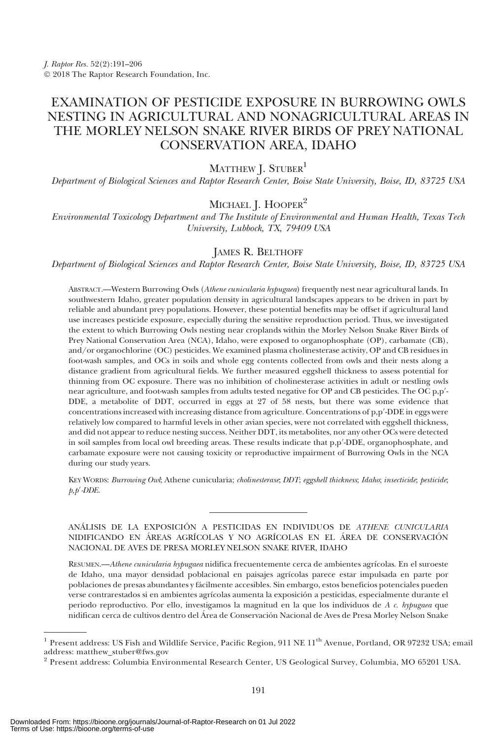## EXAMINATION OF PESTICIDE EXPOSURE IN BURROWING OWLS NESTING IN AGRICULTURAL AND NONAGRICULTURAL AREAS IN THE MORLEY NELSON SNAKE RIVER BIRDS OF PREY NATIONAL CONSERVATION AREA, IDAHO

MATTHEW J. STUBER<sup>1</sup>

Department of Biological Sciences and Raptor Research Center, Boise State University, Boise, ID, 83725 USA

### MICHAEL J. HOOPER<sup>2</sup>

Environmental Toxicology Department and The Institute of Environmental and Human Health, Texas Tech University, Lubbock, TX, 79409 USA

### JAMES R. BELTHOFF

Department of Biological Sciences and Raptor Research Center, Boise State University, Boise, ID, 83725 USA

ABSTRACT.—Western Burrowing Owls (Athene cunicularia hypugaea) frequently nest near agricultural lands. In southwestern Idaho, greater population density in agricultural landscapes appears to be driven in part by reliable and abundant prey populations. However, these potential benefits may be offset if agricultural land use increases pesticide exposure, especially during the sensitive reproduction period. Thus, we investigated the extent to which Burrowing Owls nesting near croplands within the Morley Nelson Snake River Birds of Prey National Conservation Area (NCA), Idaho, were exposed to organophosphate (OP), carbamate (CB), and/or organochlorine (OC) pesticides. We examined plasma cholinesterase activity, OP and CB residues in foot-wash samples, and OCs in soils and whole egg contents collected from owls and their nests along a distance gradient from agricultural fields. We further measured eggshell thickness to assess potential for thinning from OC exposure. There was no inhibition of cholinesterase activities in adult or nestling owls near agriculture, and foot-wash samples from adults tested negative for OP and CB pesticides. The OC p,p $^\prime$ -DDE, a metabolite of DDT, occurred in eggs at 27 of 58 nests, but there was some evidence that  $\,$  concentrations increased with increasing distance from agriculture. Concentrations of p,p'-DDE in eggs were relatively low compared to harmful levels in other avian species, were not correlated with eggshell thickness, and did not appear to reduce nesting success. Neither DDT, its metabolites, nor any other OCs were detected in soil samples from local owl breeding areas. These results indicate that p,p'-DDE, organophosphate, and carbamate exposure were not causing toxicity or reproductive impairment of Burrowing Owls in the NCA during our study years.

KEY WORDS: Burrowing Owl; Athene cunicularia; cholinesterase; DDT; eggshell thickness; Idaho; insecticide, pesticide; p,p'-DDE.

ANÁLISIS DE LA EXPOSICIÓN A PESTICIDAS EN INDIVIDUOS DE ATHENE CUNICULARIA NIDIFICANDO EN ÁREAS AGRÍCOLAS Y NO AGRÍCOLAS EN EL ÁREA DE CONSERVACIÓN NACIONAL DE AVES DE PRESA MORLEY NELSON SNAKE RIVER, IDAHO

RESUMEN.—Athene cunicularia hypugaea nidifica frecuentemente cerca de ambientes agrícolas. En el suroeste de Idaho, una mayor densidad poblacional en paisajes agrícolas parece estar impulsada en parte por poblaciones de presas abundantes y fa´cilmente accesibles. Sin embargo, estos beneficios potenciales pueden verse contrarestados si en ambientes agrícolas aumenta la exposición a pesticidas, especialmente durante el periodo reproductivo. Por ello, investigamos la magnitud en la que los individuos de A c. hypugaea que nidifican cerca de cultivos dentro del Área de Conservación Nacional de Aves de Presa Morley Nelson Snake

<sup>&</sup>lt;sup>1</sup> Present address: US Fish and Wildlife Service, Pacific Region, 911 NE 11<sup>th</sup> Avenue, Portland, OR 97232 USA; email address: matthew\_stuber@fws.gov

<sup>2</sup> Present address: Columbia Environmental Research Center, US Geological Survey, Columbia, MO 65201 USA.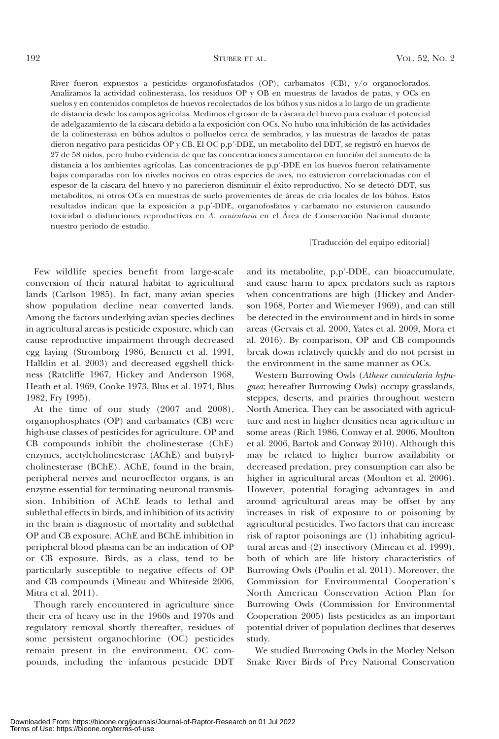River fueron expuestos a pesticidas organofosfatados (OP), carbamatos (CB), y/o organoclorados. Analizamos la actividad colinesterasa, los residuos OP y OB en muestras de lavados de patas, y OCs en suelos y en contenidos completos de huevos recolectados de los buhos y sus nidos a lo largo de un gradiente ´ de distancia desde los campos agrícolas. Medimos el grosor de la cáscara del huevo para evaluar el potencial de adelgazamiento de la cáscara debido a la exposición con OCs. No hubo una inhibición de las actividades de la colinesterasa en búhos adultos o polluelos cerca de sembrados, y las muestras de lavados de patas dieron negativo para pesticidas OP y CB. El OC p,p′-DDE, un metabolito del DDT, se registró en huevos de 27 de 58 nidos, pero hubo evidencia de que las concentraciones aumentaron en función del aumento de la distancia a los ambientes agrícolas. Las concentraciones de p,p'-DDE en los huevos fueron relativamente bajas comparadas con los niveles nocivos en otras especies de aves, no estuvieron correlacionadas con el espesor de la cáscara del huevo y no parecieron disminuir el éxito reproductivo. No se detectó DDT, sus metabolitos, ni otros OCs en muestras de suelo provenientes de áreas de cría locales de los búhos. Estos resultados indican que la exposición a p,p'-DDE, organofosfatos y carbamato no estuvieron causando toxicidad o disfunciones reproductivas en A. cunicularia en el Área de Conservación Nacional durante nuestro periodo de estudio.

#### [Traducción del equipo editorial]

Few wildlife species benefit from large-scale conversion of their natural habitat to agricultural lands (Carlson 1985). In fact, many avian species show population decline near converted lands. Among the factors underlying avian species declines in agricultural areas is pesticide exposure, which can cause reproductive impairment through decreased egg laying (Stromborg 1986, Bennett et al. 1991, Halldin et al. 2003) and decreased eggshell thickness (Ratcliffe 1967, Hickey and Anderson 1968, Heath et al. 1969, Cooke 1973, Blus et al. 1974, Blus 1982, Fry 1995).

At the time of our study (2007 and 2008), organophosphates (OP) and carbamates (CB) were high-use classes of pesticides for agriculture. OP and CB compounds inhibit the cholinesterase (ChE) enzymes, acetylcholinesterase (AChE) and butyrylcholinesterase (BChE). AChE, found in the brain, peripheral nerves and neuroeffector organs, is an enzyme essential for terminating neuronal transmission. Inhibition of AChE leads to lethal and sublethal effects in birds, and inhibition of its activity in the brain is diagnostic of mortality and sublethal OP and CB exposure. AChE and BChE inhibition in peripheral blood plasma can be an indication of OP or CB exposure. Birds, as a class, tend to be particularly susceptible to negative effects of OP and CB compounds (Mineau and Whiteside 2006, Mitra et al. 2011).

Though rarely encountered in agriculture since their era of heavy use in the 1960s and 1970s and regulatory removal shortly thereafter, residues of some persistent organochlorine (OC) pesticides remain present in the environment. OC compounds, including the infamous pesticide DDT

and its metabolite, p,p'-DDE, can bioaccumulate, and cause harm to apex predators such as raptors when concentrations are high (Hickey and Anderson 1968, Porter and Wiemeyer 1969), and can still be detected in the environment and in birds in some areas (Gervais et al. 2000, Yates et al. 2009, Mora et al. 2016). By comparison, OP and CB compounds break down relatively quickly and do not persist in the environment in the same manner as OCs.

Western Burrowing Owls (Athene cunicularia hypugaea; hereafter Burrowing Owls) occupy grasslands, steppes, deserts, and prairies throughout western North America. They can be associated with agriculture and nest in higher densities near agriculture in some areas (Rich 1986, Conway et al. 2006, Moulton et al. 2006, Bartok and Conway 2010). Although this may be related to higher burrow availability or decreased predation, prey consumption can also be higher in agricultural areas (Moulton et al. 2006). However, potential foraging advantages in and around agricultural areas may be offset by any increases in risk of exposure to or poisoning by agricultural pesticides. Two factors that can increase risk of raptor poisonings are (1) inhabiting agricultural areas and (2) insectivory (Mineau et al. 1999), both of which are life history characteristics of Burrowing Owls (Poulin et al. 2011). Moreover, the Commission for Environmental Cooperation's North American Conservation Action Plan for Burrowing Owls (Commission for Environmental Cooperation 2005) lists pesticides as an important potential driver of population declines that deserves study.

We studied Burrowing Owls in the Morley Nelson Snake River Birds of Prey National Conservation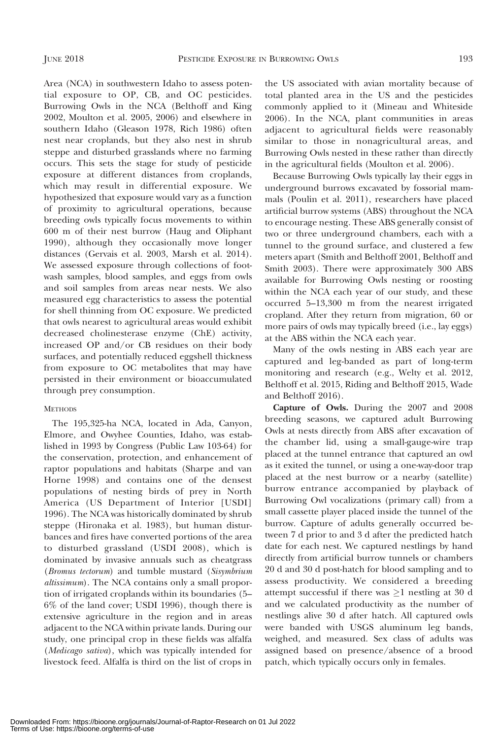Area (NCA) in southwestern Idaho to assess potential exposure to OP, CB, and OC pesticides. Burrowing Owls in the NCA (Belthoff and King 2002, Moulton et al. 2005, 2006) and elsewhere in southern Idaho (Gleason 1978, Rich 1986) often nest near croplands, but they also nest in shrub steppe and disturbed grasslands where no farming occurs. This sets the stage for study of pesticide exposure at different distances from croplands, which may result in differential exposure. We hypothesized that exposure would vary as a function of proximity to agricultural operations, because breeding owls typically focus movements to within 600 m of their nest burrow (Haug and Oliphant 1990), although they occasionally move longer distances (Gervais et al. 2003, Marsh et al. 2014). We assessed exposure through collections of footwash samples, blood samples, and eggs from owls and soil samples from areas near nests. We also measured egg characteristics to assess the potential for shell thinning from OC exposure. We predicted that owls nearest to agricultural areas would exhibit decreased cholinesterase enzyme (ChE) activity, increased OP and/or CB residues on their body surfaces, and potentially reduced eggshell thickness from exposure to OC metabolites that may have persisted in their environment or bioaccumulated through prey consumption.

### **METHODS**

The 195,325-ha NCA, located in Ada, Canyon, Elmore, and Owyhee Counties, Idaho, was established in 1993 by Congress (Public Law 103-64) for the conservation, protection, and enhancement of raptor populations and habitats (Sharpe and van Horne 1998) and contains one of the densest populations of nesting birds of prey in North America (US Department of Interior [USDI] 1996). The NCA was historically dominated by shrub steppe (Hironaka et al. 1983), but human disturbances and fires have converted portions of the area to disturbed grassland (USDI 2008), which is dominated by invasive annuals such as cheatgrass (Bromus tectorum) and tumble mustard (Sisymbrium altissimum). The NCA contains only a small proportion of irrigated croplands within its boundaries (5– 6% of the land cover; USDI 1996), though there is extensive agriculture in the region and in areas adjacent to the NCA within private lands. During our study, one principal crop in these fields was alfalfa (Medicago sativa), which was typically intended for livestock feed. Alfalfa is third on the list of crops in

the US associated with avian mortality because of total planted area in the US and the pesticides commonly applied to it (Mineau and Whiteside 2006). In the NCA, plant communities in areas adjacent to agricultural fields were reasonably similar to those in nonagricultural areas, and Burrowing Owls nested in these rather than directly in the agricultural fields (Moulton et al. 2006).

Because Burrowing Owls typically lay their eggs in underground burrows excavated by fossorial mammals (Poulin et al. 2011), researchers have placed artificial burrow systems (ABS) throughout the NCA to encourage nesting. These ABS generally consist of two or three underground chambers, each with a tunnel to the ground surface, and clustered a few meters apart (Smith and Belthoff 2001, Belthoff and Smith 2003). There were approximately 300 ABS available for Burrowing Owls nesting or roosting within the NCA each year of our study, and these occurred 5–13,300 m from the nearest irrigated cropland. After they return from migration, 60 or more pairs of owls may typically breed (i.e., lay eggs) at the ABS within the NCA each year.

Many of the owls nesting in ABS each year are captured and leg-banded as part of long-term monitoring and research (e.g., Welty et al. 2012, Belthoff et al. 2015, Riding and Belthoff 2015, Wade and Belthoff 2016).

Capture of Owls. During the 2007 and 2008 breeding seasons, we captured adult Burrowing Owls at nests directly from ABS after excavation of the chamber lid, using a small-gauge-wire trap placed at the tunnel entrance that captured an owl as it exited the tunnel, or using a one-way-door trap placed at the nest burrow or a nearby (satellite) burrow entrance accompanied by playback of Burrowing Owl vocalizations (primary call) from a small cassette player placed inside the tunnel of the burrow. Capture of adults generally occurred between 7 d prior to and 3 d after the predicted hatch date for each nest. We captured nestlings by hand directly from artificial burrow tunnels or chambers 20 d and 30 d post-hatch for blood sampling and to assess productivity. We considered a breeding attempt successful if there was  $\geq$ 1 nestling at 30 d and we calculated productivity as the number of nestlings alive 30 d after hatch. All captured owls were banded with USGS aluminum leg bands, weighed, and measured. Sex class of adults was assigned based on presence/absence of a brood patch, which typically occurs only in females.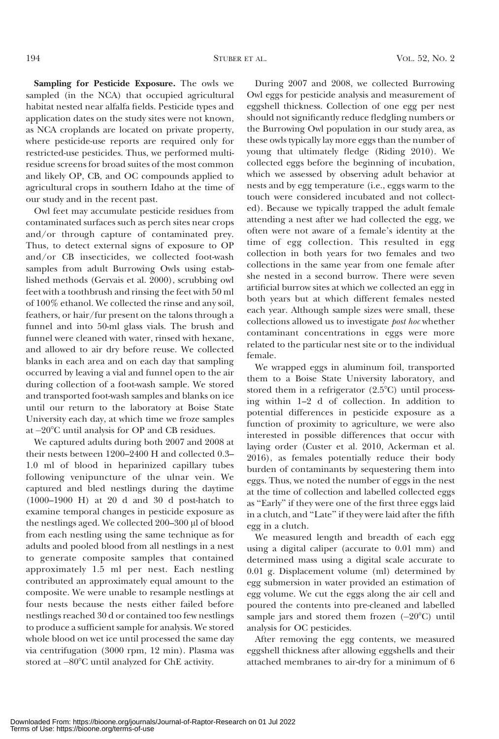Sampling for Pesticide Exposure. The owls we sampled (in the NCA) that occupied agricultural habitat nested near alfalfa fields. Pesticide types and application dates on the study sites were not known, as NCA croplands are located on private property, where pesticide-use reports are required only for restricted-use pesticides. Thus, we performed multiresidue screens for broad suites of the most common and likely OP, CB, and OC compounds applied to agricultural crops in southern Idaho at the time of our study and in the recent past.

Owl feet may accumulate pesticide residues from contaminated surfaces such as perch sites near crops and/or through capture of contaminated prey. Thus, to detect external signs of exposure to OP and/or CB insecticides, we collected foot-wash samples from adult Burrowing Owls using established methods (Gervais et al. 2000), scrubbing owl feet with a toothbrush and rinsing the feet with 50 ml of 100% ethanol. We collected the rinse and any soil, feathers, or hair/fur present on the talons through a funnel and into 50-ml glass vials. The brush and funnel were cleaned with water, rinsed with hexane, and allowed to air dry before reuse. We collected blanks in each area and on each day that sampling occurred by leaving a vial and funnel open to the air during collection of a foot-wash sample. We stored and transported foot-wash samples and blanks on ice until our return to the laboratory at Boise State University each day, at which time we froze samples at  $-20^{\circ}$ C until analysis for OP and CB residues.

We captured adults during both 2007 and 2008 at their nests between 1200–2400 H and collected 0.3– 1.0 ml of blood in heparinized capillary tubes following venipuncture of the ulnar vein. We captured and bled nestlings during the daytime (1000–1900 H) at 20 d and 30 d post-hatch to examine temporal changes in pesticide exposure as the nestlings aged. We collected 200-300 µl of blood from each nestling using the same technique as for adults and pooled blood from all nestlings in a nest to generate composite samples that contained approximately 1.5 ml per nest. Each nestling contributed an approximately equal amount to the composite. We were unable to resample nestlings at four nests because the nests either failed before nestlings reached 30 d or contained too few nestlings to produce a sufficient sample for analysis. We stored whole blood on wet ice until processed the same day via centrifugation (3000 rpm, 12 min). Plasma was stored at  $-80^{\circ}$ C until analyzed for ChE activity.

During 2007 and 2008, we collected Burrowing Owl eggs for pesticide analysis and measurement of eggshell thickness. Collection of one egg per nest should not significantly reduce fledgling numbers or the Burrowing Owl population in our study area, as these owls typically lay more eggs than the number of young that ultimately fledge (Riding 2010). We collected eggs before the beginning of incubation, which we assessed by observing adult behavior at nests and by egg temperature (i.e., eggs warm to the touch were considered incubated and not collected). Because we typically trapped the adult female attending a nest after we had collected the egg, we often were not aware of a female's identity at the time of egg collection. This resulted in egg collection in both years for two females and two collections in the same year from one female after she nested in a second burrow. There were seven artificial burrow sites at which we collected an egg in both years but at which different females nested each year. Although sample sizes were small, these collections allowed us to investigate post hoc whether contaminant concentrations in eggs were more related to the particular nest site or to the individual female.

We wrapped eggs in aluminum foil, transported them to a Boise State University laboratory, and stored them in a refrigerator  $(2.5^{\circ}C)$  until processing within 1–2 d of collection. In addition to potential differences in pesticide exposure as a function of proximity to agriculture, we were also interested in possible differences that occur with laying order (Custer et al. 2010, Ackerman et al. 2016), as females potentially reduce their body burden of contaminants by sequestering them into eggs. Thus, we noted the number of eggs in the nest at the time of collection and labelled collected eggs as ''Early'' if they were one of the first three eggs laid in a clutch, and ''Late'' if they were laid after the fifth egg in a clutch.

We measured length and breadth of each egg using a digital caliper (accurate to 0.01 mm) and determined mass using a digital scale accurate to 0.01 g. Displacement volume (ml) determined by egg submersion in water provided an estimation of egg volume. We cut the eggs along the air cell and poured the contents into pre-cleaned and labelled sample jars and stored them frozen  $(-20^{\circ}C)$  until analysis for OC pesticides.

After removing the egg contents, we measured eggshell thickness after allowing eggshells and their attached membranes to air-dry for a minimum of 6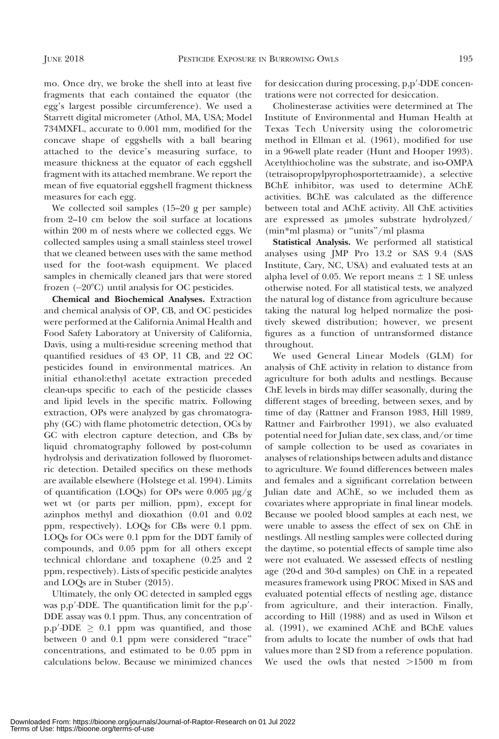mo. Once dry, we broke the shell into at least five fragments that each contained the equator (the egg's largest possible circumference). We used a Starrett digital micrometer (Athol, MA, USA; Model 734MXFL, accurate to 0.001 mm, modified for the concave shape of eggshells with a ball bearing attached to the device's measuring surface, to measure thickness at the equator of each eggshell fragment with its attached membrane. We report the mean of five equatorial eggshell fragment thickness measures for each egg.

We collected soil samples (15–20 g per sample) from 2–10 cm below the soil surface at locations within 200 m of nests where we collected eggs. We collected samples using a small stainless steel trowel that we cleaned between uses with the same method used for the foot-wash equipment. We placed samples in chemically cleaned jars that were stored frozen  $(-20^{\circ}C)$  until analysis for OC pesticides.

Chemical and Biochemical Analyses. Extraction and chemical analysis of OP, CB, and OC pesticides were performed at the California Animal Health and Food Safety Laboratory at University of California, Davis, using a multi-residue screening method that quantified residues of 43 OP, 11 CB, and 22 OC pesticides found in environmental matrices. An initial ethanol:ethyl acetate extraction preceded clean-ups specific to each of the pesticide classes and lipid levels in the specific matrix. Following extraction, OPs were analyzed by gas chromatography (GC) with flame photometric detection, OCs by GC with electron capture detection, and CBs by liquid chromatography followed by post-column hydrolysis and derivatization followed by fluorometric detection. Detailed specifics on these methods are available elsewhere (Holstege et al. 1994). Limits of quantification (LOQs) for OPs were 0.005  $\mu$ g/g wet wt (or parts per million, ppm), except for azinphos methyl and dioxathion (0.01 and 0.02 ppm, respectively). LOQs for CBs were 0.1 ppm. LOQs for OCs were 0.1 ppm for the DDT family of compounds, and 0.05 ppm for all others except technical chlordane and toxaphene (0.25 and 2 ppm, respectively). Lists of specific pesticide analytes and LOQs are in Stuber (2015).

Ultimately, the only OC detected in sampled eggs was p,p′-DDE. The quantification limit for the p,p′-DDE assay was 0.1 ppm. Thus, any concentration of  $\text{p,p'}\text{-DDE} \geq 0.1$  ppm was quantified, and those between 0 and 0.1 ppm were considered ''trace'' concentrations, and estimated to be 0.05 ppm in calculations below. Because we minimized chances

for desiccation during processing, p,p'-DDE concentrations were not corrected for desiccation.

Cholinesterase activities were determined at The Institute of Environmental and Human Health at Texas Tech University using the colorometric method in Ellman et al. (1961), modified for use in a 96-well plate reader (Hunt and Hooper 1993). Acetylthiocholine was the substrate, and iso-OMPA (tetraisopropylpyrophosportetraamide), a selective BChE inhibitor, was used to determine AChE activities. BChE was calculated as the difference between total and AChE activity. All ChE activities are expressed as µmoles substrate hydrolyzed/ (min\*ml plasma) or ''units''/ml plasma

Statistical Analysis. We performed all statistical analyses using JMP Pro 13.2 or SAS 9.4 (SAS Institute, Cary, NC, USA) and evaluated tests at an alpha level of 0.05. We report means  $\pm$  1 SE unless otherwise noted. For all statistical tests, we analyzed the natural log of distance from agriculture because taking the natural log helped normalize the positively skewed distribution; however, we present figures as a function of untransformed distance throughout.

We used General Linear Models (GLM) for analysis of ChE activity in relation to distance from agriculture for both adults and nestlings. Because ChE levels in birds may differ seasonally, during the different stages of breeding, between sexes, and by time of day (Rattner and Franson 1983, Hill 1989, Rattner and Fairbrother 1991), we also evaluated potential need for Julian date, sex class, and/or time of sample collection to be used as covariates in analyses of relationships between adults and distance to agriculture. We found differences between males and females and a significant correlation between Julian date and AChE, so we included them as covariates where appropriate in final linear models. Because we pooled blood samples at each nest, we were unable to assess the effect of sex on ChE in nestlings. All nestling samples were collected during the daytime, so potential effects of sample time also were not evaluated. We assessed effects of nestling age (20-d and 30-d samples) on ChE in a repeated measures framework using PROC Mixed in SAS and evaluated potential effects of nestling age, distance from agriculture, and their interaction. Finally, according to Hill (1988) and as used in Wilson et al. (1991), we examined AChE and BChE values from adults to locate the number of owls that had values more than 2 SD from a reference population. We used the owls that nested  $>1500$  m from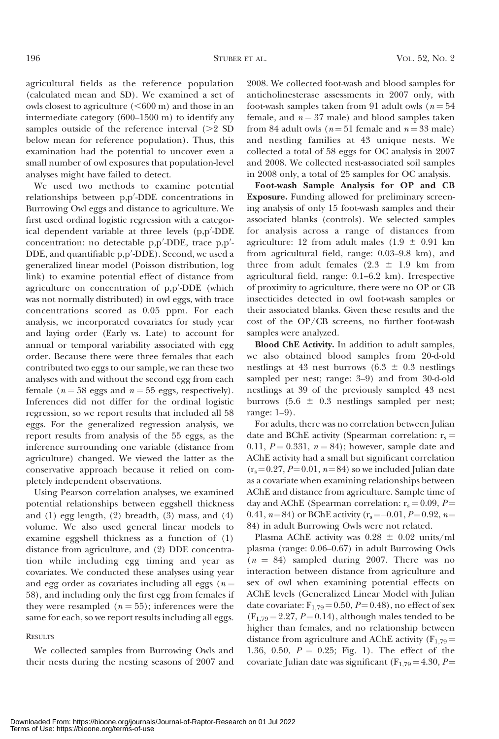agricultural fields as the reference population (calculated mean and SD). We examined a set of owls closest to agriculture  $(<600 \text{ m})$  and those in an intermediate category (600–1500 m) to identify any samples outside of the reference interval  $(>2$  SD below mean for reference population). Thus, this examination had the potential to uncover even a small number of owl exposures that population-level analyses might have failed to detect.

We used two methods to examine potential relationships between p,p'-DDE concentrations in Burrowing Owl eggs and distance to agriculture. We first used ordinal logistic regression with a categorical dependent variable at three levels (p,p'-DDE concentration: no detectable p,p′-DDE, trace p,p′-DDE, and quantifiable p,p'-DDE). Second, we used a generalized linear model (Poisson distribution, log link) to examine potential effect of distance from agriculture on concentration of p,p'-DDE (which was not normally distributed) in owl eggs, with trace concentrations scored as 0.05 ppm. For each analysis, we incorporated covariates for study year and laying order (Early vs. Late) to account for annual or temporal variability associated with egg order. Because there were three females that each contributed two eggs to our sample, we ran these two analyses with and without the second egg from each female ( $n = 58$  eggs and  $n = 55$  eggs, respectively). Inferences did not differ for the ordinal logistic regression, so we report results that included all 58 eggs. For the generalized regression analysis, we report results from analysis of the 55 eggs, as the inference surrounding one variable (distance from agriculture) changed. We viewed the latter as the conservative approach because it relied on completely independent observations.

Using Pearson correlation analyses, we examined potential relationships between eggshell thickness and (1) egg length, (2) breadth, (3) mass, and (4) volume. We also used general linear models to examine eggshell thickness as a function of (1) distance from agriculture, and (2) DDE concentration while including egg timing and year as covariates. We conducted these analyses using year and egg order as covariates including all eggs ( $n =$ 58), and including only the first egg from females if they were resampled  $(n = 55)$ ; inferences were the same for each, so we report results including all eggs.

#### **RESULTS**

We collected samples from Burrowing Owls and their nests during the nesting seasons of 2007 and 2008. We collected foot-wash and blood samples for anticholinesterase assessments in 2007 only, with foot-wash samples taken from 91 adult owls ( $n = 54$ ) female, and  $n = 37$  male) and blood samples taken from 84 adult owls ( $n = 51$  female and  $n = 33$  male) and nestling families at 43 unique nests. We collected a total of 58 eggs for OC analysis in 2007 and 2008. We collected nest-associated soil samples in 2008 only, a total of 25 samples for OC analysis.

Foot-wash Sample Analysis for OP and CB Exposure. Funding allowed for preliminary screening analysis of only 15 foot-wash samples and their associated blanks (controls). We selected samples for analysis across a range of distances from agriculture: 12 from adult males (1.9  $\pm$  0.91 km from agricultural field, range: 0.03–9.8 km), and three from adult females (2.3  $\pm$  1.9 km from agricultural field, range: 0.1–6.2 km). Irrespective of proximity to agriculture, there were no OP or CB insecticides detected in owl foot-wash samples or their associated blanks. Given these results and the cost of the OP/CB screens, no further foot-wash samples were analyzed.

Blood ChE Activity. In addition to adult samples, we also obtained blood samples from 20-d-old nestlings at 43 nest burrows (6.3  $\pm$  0.3 nestlings sampled per nest; range: 3–9) and from 30-d-old nestlings at 39 of the previously sampled 43 nest burrows (5.6  $\pm$  0.3 nestlings sampled per nest; range: 1–9).

For adults, there was no correlation between Julian date and BChE activity (Spearman correlation:  $r_s =$ 0.11,  $P = 0.331$ ,  $n = 84$ ); however, sample date and AChE activity had a small but significant correlation  $(r_s=0.27, P=0.01, n=84)$  so we included Julian date as a covariate when examining relationships between AChE and distance from agriculture. Sample time of day and AChE (Spearman correlation:  $r_s = 0.09$ ,  $P =$ 0.41,  $n=84$ ) or BChE activity ( $r_s = -0.01$ ,  $P=0.92$ ,  $n=$ 84) in adult Burrowing Owls were not related.

Plasma AChE activity was  $0.28 \pm 0.02$  units/ml plasma (range: 0.06–0.67) in adult Burrowing Owls  $(n = 84)$  sampled during 2007. There was no interaction between distance from agriculture and sex of owl when examining potential effects on AChE levels (Generalized Linear Model with Julian date covariate:  $F_{1,79} = 0.50, P = 0.48$ , no effect of sex  $(F_{1,79} = 2.27, P = 0.14)$ , although males tended to be higher than females, and no relationship between distance from agriculture and AChE activity ( $F_{1,79}$  = 1.36, 0.50,  $P = 0.25$ ; Fig. 1). The effect of the covariate Julian date was significant ( $F_{1,79} = 4.30, P =$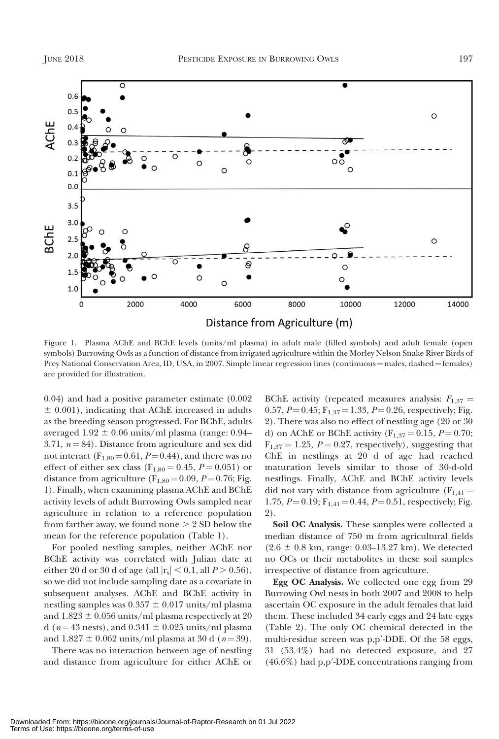

Figure 1. Plasma AChE and BChE levels (units/ml plasma) in adult male (filled symbols) and adult female (open symbols) Burrowing Owls as a function of distance from irrigated agriculture within the Morley Nelson Snake River Birds of Prey National Conservation Area, ID, USA, in 2007. Simple linear regression lines (continuous = males, dashed = females) are provided for illustration.

0.04) and had a positive parameter estimate (0.002  $±$  0.001), indicating that AChE increased in adults as the breeding season progressed. For BChE, adults averaged  $1.92 \pm 0.06$  units/ml plasma (range: 0.94– 3.71,  $n = 84$ ). Distance from agriculture and sex did not interact  $(F_{1,80} = 0.61, P = 0.44)$ , and there was no effect of either sex class ( $F_{1,80} = 0.45, P = 0.051$ ) or distance from agriculture ( $F_{1,80} = 0.09$ ,  $P = 0.76$ ; Fig. 1). Finally, when examining plasma AChE and BChE activity levels of adult Burrowing Owls sampled near agriculture in relation to a reference population from farther away, we found none  $> 2$  SD below the mean for the reference population (Table 1).

For pooled nestling samples, neither AChE nor BChE activity was correlated with Julian date at either 20 d or 30 d of age (all  $|r_s| < 0.1$ , all  $P > 0.56$ ), so we did not include sampling date as a covariate in subsequent analyses. AChE and BChE activity in nestling samples was  $0.357 \pm 0.017$  units/ml plasma and  $1.823 \pm 0.056$  units/ml plasma respectively at 20 d ( $n=43$  nests), and 0.341  $\pm$  0.025 units/ml plasma and  $1.827 \pm 0.062$  units/ml plasma at 30 d ( $n = 39$ ).

There was no interaction between age of nestling and distance from agriculture for either AChE or BChE activity (repeated measures analysis:  $F_{1,37} =$ 0.57,  $P = 0.45$ ;  $F_{1,37} = 1.33$ ,  $P = 0.26$ , respectively; Fig. 2). There was also no effect of nestling age (20 or 30 d) on AChE or BChE activity ( $F_{1,37} = 0.15$ ,  $P = 0.70$ ;  $F_{1,37} = 1.25$ ,  $P = 0.27$ , respectively), suggesting that ChE in nestlings at 20 d of age had reached maturation levels similar to those of 30-d-old nestlings. Finally, AChE and BChE activity levels did not vary with distance from agriculture ( $F_{1,41}$  = 1.75,  $P = 0.19$ ;  $F_{1,41} = 0.44$ ,  $P = 0.51$ , respectively; Fig. 2).

Soil OC Analysis. These samples were collected a median distance of 750 m from agricultural fields  $(2.6 \pm 0.8 \text{ km}, \text{range: } 0.03 - 13.27 \text{ km})$ . We detected no OCs or their metabolites in these soil samples irrespective of distance from agriculture.

Egg OC Analysis. We collected one egg from 29 Burrowing Owl nests in both 2007 and 2008 to help ascertain OC exposure in the adult females that laid them. These included 34 early eggs and 24 late eggs (Table 2). The only OC chemical detected in the multi-residue screen was p,p'-DDE. Of the 58 eggs, 31 (53.4%) had no detected exposure, and 27  $(46.6\%)$  had p,p'-DDE concentrations ranging from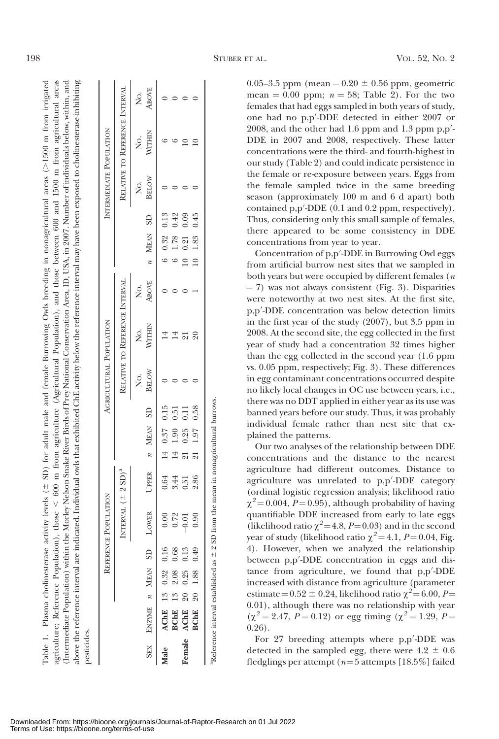| activity levels (± SD) for adult male and female Burrowing Owls breeding in nonagricultural areas (>1500 m from irrigated<br>n), those < 600 m from agriculture (Agricultural Population), and those between 600 and 1500 m from agricultural areas<br>lasma cholinestel<br>Katerence P<br>able 1. P |
|------------------------------------------------------------------------------------------------------------------------------------------------------------------------------------------------------------------------------------------------------------------------------------------------------|
| the Morley Nelson Snake River Birds of Prey National Conservation Area, ID, USA, in 2007. Number of individuals below, within, and<br>ermediate Population) un                                                                                                                                       |
| dicated. Individual owls that exhibited ChE activity below the reference interval may have been exposed to cholinesterase-inhibiting<br>'n e reterence interral are it                                                                                                                               |
|                                                                                                                                                                                                                                                                                                      |

|      |                          |                          |      | REFERENCE POPULATION                                                                          |                   |              |           |                   | AGRICULTURAL POPULATION        |                        |               |      | INTERMEDIATE POPULATION |                                |              |
|------|--------------------------|--------------------------|------|-----------------------------------------------------------------------------------------------|-------------------|--------------|-----------|-------------------|--------------------------------|------------------------|---------------|------|-------------------------|--------------------------------|--------------|
|      |                          |                          |      | INTERVAL $(\pm 2 \text{ SD})^a$                                                               |                   |              |           |                   | RELATIVE TO REFERENCE INTERVAL |                        |               |      |                         | RELATIVE TO REFERENCE INTERVAL |              |
|      | SEX ENZYME n MEAN SD     |                          |      | LOWER                                                                                         | UPPER n MEAN SD   |              |           | <b>BELOW</b><br>ż | WITHIN<br>ż                    | <b>ABOVE</b><br>2<br>Z | n MEAN SD     |      | <b>BELOW</b><br>ż       | WITHIN<br>Ż.                   | ABOVE<br>Χo. |
| Male |                          | AChE 13 0.32 0.16        |      | 0.00                                                                                          | 0.64 14 0.37 0.15 |              |           |                   |                                |                        | $0.32$ $0.13$ |      |                         |                                |              |
|      |                          | <b>BChE</b> 13 2.08      | 0.68 | 0.72                                                                                          |                   |              | 1.90 0.51 |                   |                                |                        | 1.78          | 0.42 |                         |                                |              |
|      | Female AChE 20 0.25 0.13 |                          |      | $-0.01$                                                                                       | 0.51              | 21 0.25 0.11 |           |                   |                                |                        | 0.21          | 0.09 |                         |                                |              |
|      |                          | <b>BChE</b> 20 1.88 0.49 |      | 0.90                                                                                          | 2.86              | 21 1.97 0.58 |           |                   |                                |                        |               |      |                         |                                |              |
|      |                          |                          |      |                                                                                               |                   |              |           |                   |                                |                        |               |      | $10$ 1.83 0.45          |                                |              |
|      |                          |                          |      | ${}^4$ Reference interval established as $\pm$ 2 SD from the mean in nonagricultural burrows. |                   |              |           |                   |                                |                        |               |      |                         |                                |              |

0.05–3.5 ppm (mean =  $0.20 \pm 0.56$  ppm, geometric mean  $= 0.00$  ppm;  $n = 58$ ; Table 2). For the two females that had eggs sampled in both years of study, one had no p,p'-DDE detected in either 2007 or 2008, and the other had  $1.6$  ppm and  $1.3$  ppm p,p $^\prime\text{-}$ DDE in 2007 and 2008, respectively. These latter concentrations were the third- and fourth-highest in our study (Table 2) and could indicate persistence in the female or re-exposure between years. Eggs from the female sampled twice in the same breeding season (approximately 100 m and 6 d apart) both contained p,p'-DDE (0.1 and 0.2 ppm, respectively). Thus, considering only this small sample of females, there appeared to be some consistency in DDE concentrations from year to year.

Concentration of p,p'-DDE in Burrowing Owl eggs from artificial burrow nest sites that we sampled in both years but were occupied by different females (n  $= 7$ ) was not always consistent (Fig. 3). Disparities were noteworthy at two nest sites. At the first site, p,p'-DDE concentration was below detection limits in the first year of the study (2007), but 3.5 ppm in 2008. At the second site, the egg collected in the first year of study had a concentration 32 times higher than the egg collected in the second year (1.6 ppm vs. 0.05 ppm, respectively; Fig. 3). These differences in egg contaminant concentrations occurred despite no likely local changes in OC use between years, i.e., there was no DDT applied in either year as its use was banned years before our study. Thus, it was probably individual female rather than nest site that explained the patterns.

Our two analyses of the relationship between DDE concentrations and the distance to the nearest agriculture had different outcomes. Distance to agriculture was unrelated to p,p'-DDE category (ordinal logistic regression analysis; likelihood ratio  $\chi^2$  = 0.004, P = 0.95), although probability of having quantifiable DDE increased from early to late eggs (likelihood ratio  $\chi^2$  = 4.8, P = 0.03) and in the second year of study (likelihood ratio  $\chi^2$  = 4.1, P = 0.04, Fig. 4). However, when we analyzed the relationship between p,p′-DDE concentration in eggs and distance from agriculture, we found that p,p'-DDE increased with distance from agriculture (parameter estimate =  $0.52 \pm 0.24$ , likelihood ratio  $\chi^2$  = 6.00, P = 0.01), although there was no relationship with year  $(\chi^2 = 2.47, P = 0.12)$  or egg timing  $(\chi^2 = 1.29, P =$ 0.26).

For 27 breeding attempts where p,p'-DDE was detected in the sampled egg, there were  $4.2 \pm 0.6$ fledglings per attempt ( $n=5$  attempts [18.5%] failed

 $\pi$   $\sigma$   $\pi$   $\kappa$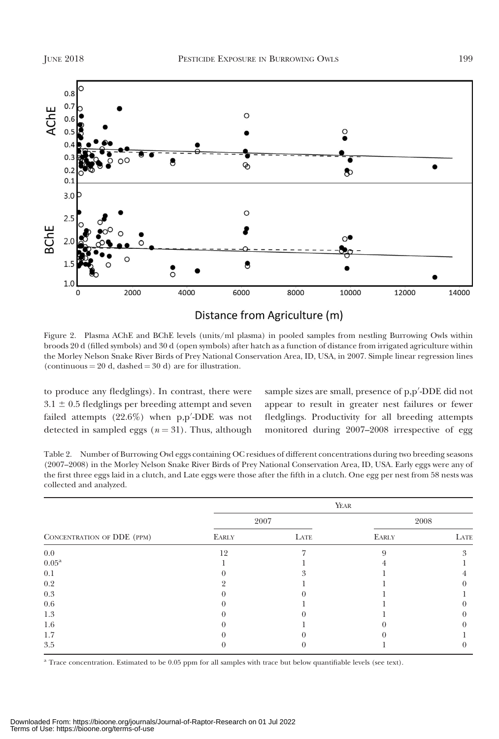

Figure 2. Plasma AChE and BChE levels (units/ml plasma) in pooled samples from nestling Burrowing Owls within broods 20 d (filled symbols) and 30 d (open symbols) after hatch as a function of distance from irrigated agriculture within the Morley Nelson Snake River Birds of Prey National Conservation Area, ID, USA, in 2007. Simple linear regression lines (continuous = 20 d, dashed = 30 d) are for illustration.

to produce any fledglings). In contrast, there were  $3.1 \pm 0.5$  fledglings per breeding attempt and seven failed attempts  $(22.6\%)$  when  $p,p'$ -DDE was not detected in sampled eggs  $(n = 31)$ . Thus, although

sample sizes are small, presence of p,p'-DDE did not appear to result in greater nest failures or fewer fledglings. Productivity for all breeding attempts monitored during 2007–2008 irrespective of egg

| Table 2. Number of Burrowing Owl eggs containing OC residues of different concentrations during two breeding seasons            |
|---------------------------------------------------------------------------------------------------------------------------------|
| (2007–2008) in the Morley Nelson Snake River Birds of Prey National Conservation Area, ID, USA. Early eggs were any of          |
| the first three eggs laid in a clutch, and Late eggs were those after the fifth in a clutch. One egg per nest from 58 nests was |
| collected and analyzed.                                                                                                         |

|                            |       |      | YEAR         |      |
|----------------------------|-------|------|--------------|------|
|                            | 2007  |      | 2008         |      |
| CONCENTRATION OF DDE (PPM) | EARLY | LATE | <b>EARLY</b> | LATE |
| 0.0                        | 12    |      | 9            | 3    |
| $0.05^{\rm a}$             |       |      |              |      |
| 0.1                        |       | 3    |              | 4    |
| 0.2                        |       |      |              |      |
| 0.3                        |       |      |              |      |
| 0.6                        |       |      |              |      |
| 1.3                        |       |      |              |      |
| 1.6                        |       |      |              |      |
| 1.7                        |       |      |              |      |
| 3.5                        |       |      |              |      |

<sup>a</sup> Trace concentration. Estimated to be 0.05 ppm for all samples with trace but below quantifiable levels (see text).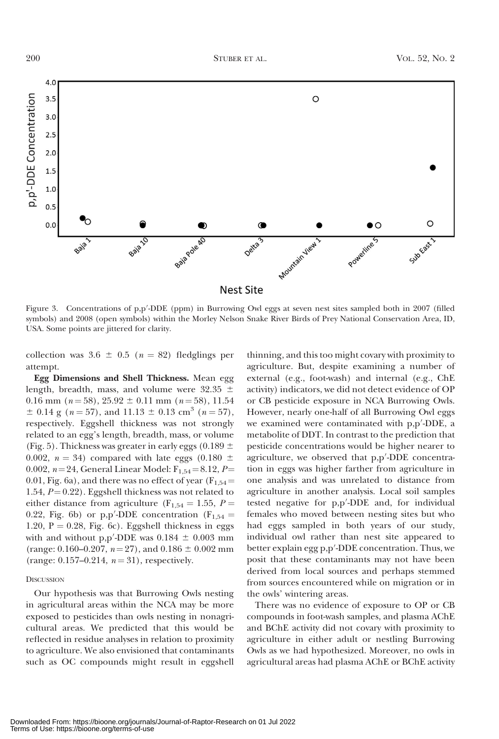

Figure 3. Concentrations of p,p'-DDE (ppm) in Burrowing Owl eggs at seven nest sites sampled both in 2007 (filled symbols) and 2008 (open symbols) within the Morley Nelson Snake River Birds of Prey National Conservation Area, ID, USA. Some points are jittered for clarity.

collection was 3.6  $\pm$  0.5 (n = 82) fledglings per attempt.

Egg Dimensions and Shell Thickness. Mean egg length, breadth, mass, and volume were  $32.35 \pm$ 0.16 mm  $(n = 58)$ ,  $25.92 \pm 0.11$  mm  $(n = 58)$ , 11.54  $\pm$  0.14 g (n = 57), and 11.13  $\pm$  0.13 cm<sup>3</sup> (n = 57), respectively. Eggshell thickness was not strongly related to an egg's length, breadth, mass, or volume (Fig. 5). Thickness was greater in early eggs (0.189  $\pm$ 0.002,  $n = 34$ ) compared with late eggs (0.180  $\pm$ 0.002,  $n=24$ , General Linear Model:  $F_{1,54}=8.12$ ,  $P=$ 0.01, Fig. 6a), and there was no effect of year ( $F_{1,54}$  = 1.54,  $P = 0.22$ ). Eggshell thickness was not related to either distance from agriculture ( $F_{1,54} = 1.55$ ,  $P =$ 0.22, Fig. 6b) or p,p'-DDE concentration ( $F_{1,54}$  = 1.20,  $P = 0.28$ , Fig. 6c). Eggshell thickness in eggs with and without p,p'-DDE was  $0.184 \pm 0.003$  mm (range: 0.160–0.207,  $n = 27$ ), and 0.186  $\pm$  0.002 mm (range: 0.157–0.214,  $n = 31$ ), respectively.

#### **DISCUSSION**

Our hypothesis was that Burrowing Owls nesting in agricultural areas within the NCA may be more exposed to pesticides than owls nesting in nonagricultural areas. We predicted that this would be reflected in residue analyses in relation to proximity to agriculture. We also envisioned that contaminants such as OC compounds might result in eggshell thinning, and this too might covary with proximity to agriculture. But, despite examining a number of external (e.g., foot-wash) and internal (e.g., ChE activity) indicators, we did not detect evidence of OP or CB pesticide exposure in NCA Burrowing Owls. However, nearly one-half of all Burrowing Owl eggs we examined were contaminated with  $\rm p,p^{\prime}\text{-}DDE,$  a metabolite of DDT. In contrast to the prediction that pesticide concentrations would be higher nearer to agriculture, we observed that  $p,p'\text{-DDE}$  concentration in eggs was higher farther from agriculture in one analysis and was unrelated to distance from agriculture in another analysis. Local soil samples tested negative for p,p'-DDE and, for individual females who moved between nesting sites but who had eggs sampled in both years of our study, individual owl rather than nest site appeared to better explain egg p,p'-DDE concentration. Thus, we posit that these contaminants may not have been derived from local sources and perhaps stemmed from sources encountered while on migration or in the owls' wintering areas.

There was no evidence of exposure to OP or CB compounds in foot-wash samples, and plasma AChE and BChE activity did not covary with proximity to agriculture in either adult or nestling Burrowing Owls as we had hypothesized. Moreover, no owls in agricultural areas had plasma AChE or BChE activity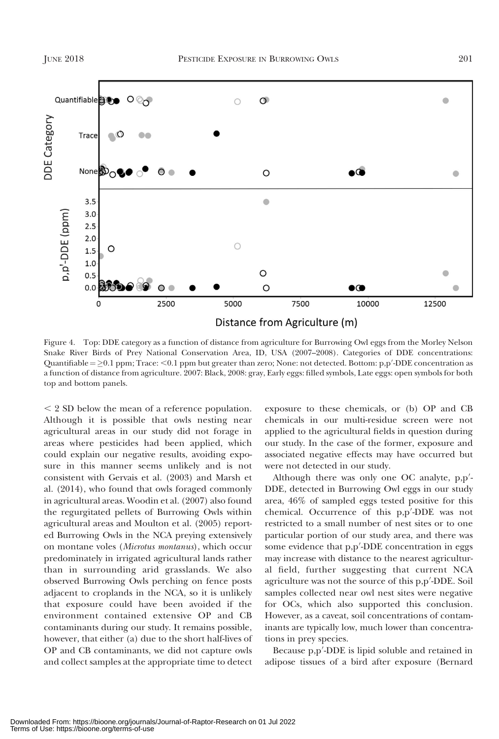

Figure 4. Top: DDE category as a function of distance from agriculture for Burrowing Owl eggs from the Morley Nelson Snake River Birds of Prey National Conservation Area, ID, USA (2007–2008). Categories of DDE concentrations: Quantifiable  $=\geq$  0.1 ppm; Trace: <0.1 ppm but greater than zero; None: not detected. Bottom: p,p′-DDE concentration as a function of distance from agriculture. 2007: Black, 2008: gray, Early eggs: filled symbols, Late eggs: open symbols for both top and bottom panels.

 $\leq$  2 SD below the mean of a reference population. Although it is possible that owls nesting near agricultural areas in our study did not forage in areas where pesticides had been applied, which could explain our negative results, avoiding exposure in this manner seems unlikely and is not consistent with Gervais et al. (2003) and Marsh et al. (2014), who found that owls foraged commonly in agricultural areas. Woodin et al. (2007) also found the regurgitated pellets of Burrowing Owls within agricultural areas and Moulton et al. (2005) reported Burrowing Owls in the NCA preying extensively on montane voles (Microtus montanus), which occur predominately in irrigated agricultural lands rather than in surrounding arid grasslands. We also observed Burrowing Owls perching on fence posts adjacent to croplands in the NCA, so it is unlikely that exposure could have been avoided if the environment contained extensive OP and CB contaminants during our study. It remains possible, however, that either (a) due to the short half-lives of OP and CB contaminants, we did not capture owls and collect samples at the appropriate time to detect exposure to these chemicals, or (b) OP and CB chemicals in our multi-residue screen were not applied to the agricultural fields in question during our study. In the case of the former, exposure and associated negative effects may have occurred but were not detected in our study.

Although there was only one OC analyte,  $p, p'$ -DDE, detected in Burrowing Owl eggs in our study area, 46% of sampled eggs tested positive for this chemical. Occurrence of this p,p'-DDE was not restricted to a small number of nest sites or to one particular portion of our study area, and there was some evidence that p,p'-DDE concentration in eggs may increase with distance to the nearest agricultural field, further suggesting that current NCA agriculture was not the source of this p,p'-DDE. Soil samples collected near owl nest sites were negative for OCs, which also supported this conclusion. However, as a caveat, soil concentrations of contaminants are typically low, much lower than concentrations in prey species.

Because p,p'-DDE is lipid soluble and retained in adipose tissues of a bird after exposure (Bernard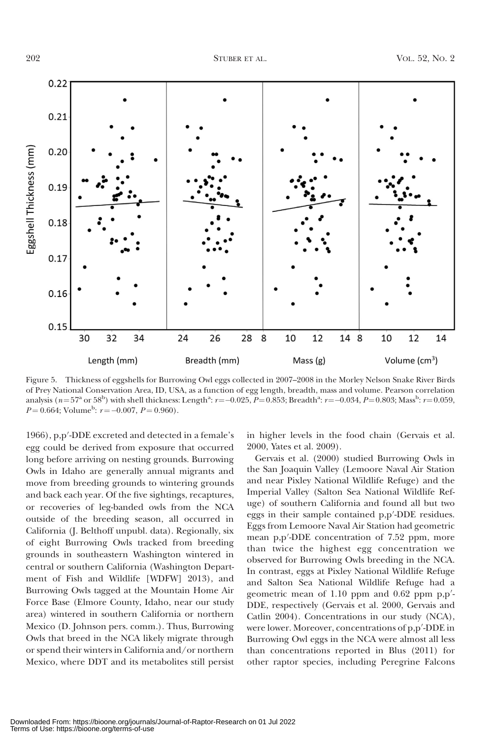

Figure 5. Thickness of eggshells for Burrowing Owl eggs collected in 2007–2008 in the Morley Nelson Snake River Birds of Prey National Conservation Area, ID, USA, as a function of egg length, breadth, mass and volume. Pearson correlation analysis  $(n=57^{\rm a} \text{ or } 58^{\rm b})$  with shell thickness: Length<sup>a</sup>:  $r=-0.025$ ,  $P=0.853$ ; Breadth<sup>a</sup>:  $r=-0.034$ ,  $P=0.803$ ; Mass<sup>b</sup>:  $r=0.059$ ,  $P = 0.664$ ; Volume<sup>b</sup>:  $r = -0.007$ ,  $P = 0.960$ ).

1966), p,p'-DDE excreted and detected in a female's egg could be derived from exposure that occurred long before arriving on nesting grounds. Burrowing Owls in Idaho are generally annual migrants and move from breeding grounds to wintering grounds and back each year. Of the five sightings, recaptures, or recoveries of leg-banded owls from the NCA outside of the breeding season, all occurred in California (J. Belthoff unpubl. data). Regionally, six of eight Burrowing Owls tracked from breeding grounds in southeastern Washington wintered in central or southern California (Washington Department of Fish and Wildlife [WDFW] 2013), and Burrowing Owls tagged at the Mountain Home Air Force Base (Elmore County, Idaho, near our study area) wintered in southern California or northern Mexico (D. Johnson pers. comm.). Thus, Burrowing Owls that breed in the NCA likely migrate through or spend their winters in California and/or northern Mexico, where DDT and its metabolites still persist

in higher levels in the food chain (Gervais et al. 2000, Yates et al. 2009).

Gervais et al. (2000) studied Burrowing Owls in the San Joaquin Valley (Lemoore Naval Air Station and near Pixley National Wildlife Refuge) and the Imperial Valley (Salton Sea National Wildlife Refuge) of southern California and found all but two eggs in their sample contained  $p, p'.\text{DDE}$  residues. Eggs from Lemoore Naval Air Station had geometric mean p,p'-DDE concentration of 7.52 ppm, more than twice the highest egg concentration we observed for Burrowing Owls breeding in the NCA. In contrast, eggs at Pixley National Wildlife Refuge and Salton Sea National Wildlife Refuge had a geometric mean of  $1.10$  ppm and  $0.62$  ppm  $p,p'$ -DDE, respectively (Gervais et al. 2000, Gervais and Catlin 2004). Concentrations in our study (NCA), were lower. Moreover, concentrations of p,p'-DDE in Burrowing Owl eggs in the NCA were almost all less than concentrations reported in Blus (2011) for other raptor species, including Peregrine Falcons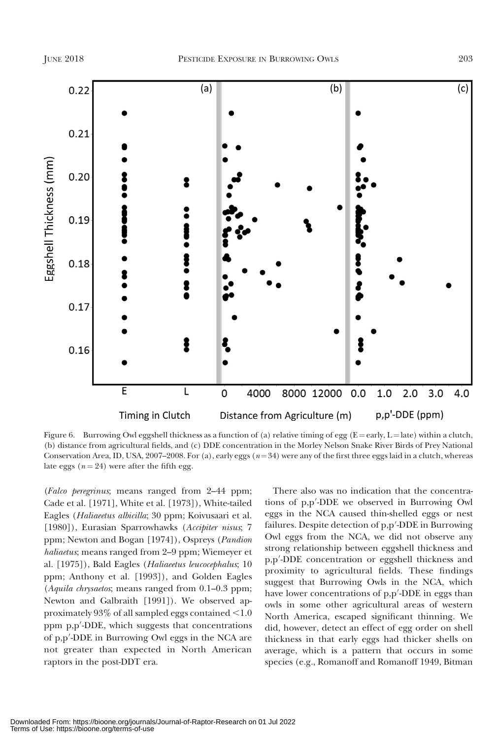

Figure 6. Burrowing Owl eggshell thickness as a function of (a) relative timing of egg ( $E = \text{early}, L = \text{late}$ ) within a clutch, (b) distance from agricultural fields, and (c) DDE concentration in the Morley Nelson Snake River Birds of Prey National Conservation Area, ID, USA, 2007–2008. For (a), early eggs  $(n=34)$  were any of the first three eggs laid in a clutch, whereas late eggs ( $n = 24$ ) were after the fifth egg.

(Falco peregrinus; means ranged from 2–44 ppm; Cade et al. [1971], White et al. [1973]), White-tailed Eagles (Haliaeetus albicilla; 30 ppm; Koivusaari et al. [1980]), Eurasian Sparrowhawks (Accipiter nisus; 7 ppm; Newton and Bogan [1974]), Ospreys (Pandion haliaetus; means ranged from 2–9 ppm; Wiemeyer et al. [1975]), Bald Eagles (Haliaeetus leucocephalus; 10 ppm; Anthony et al. [1993]), and Golden Eagles (Aquila chrysaetos; means ranged from 0.1–0.3 ppm; Newton and Galbraith [1991]). We observed approximately 93% of all sampled eggs contained  $\leq 1.0$ ppm p,p'-DDE, which suggests that concentrations of p,p′-DDE in Burrowing Owl eggs in the NCA are not greater than expected in North American raptors in the post-DDT era.

There also was no indication that the concentrations of p,p'-DDE we observed in Burrowing Owl eggs in the NCA caused thin-shelled eggs or nest failures. Despite detection of p,p′-DDE in Burrowing Owl eggs from the NCA, we did not observe any strong relationship between eggshell thickness and p,p'-DDE concentration or eggshell thickness and proximity to agricultural fields. These findings suggest that Burrowing Owls in the NCA, which have lower concentrations of p,p'-DDE in eggs than owls in some other agricultural areas of western North America, escaped significant thinning. We did, however, detect an effect of egg order on shell thickness in that early eggs had thicker shells on average, which is a pattern that occurs in some species (e.g., Romanoff and Romanoff 1949, Bitman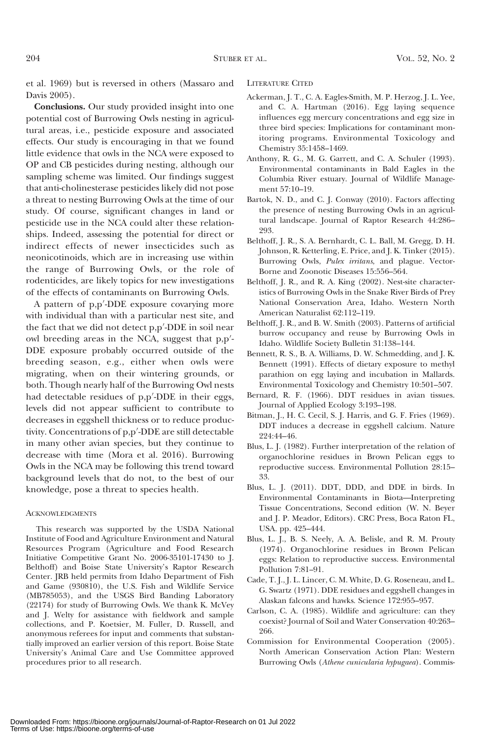et al. 1969) but is reversed in others (Massaro and Davis 2005).

Conclusions. Our study provided insight into one potential cost of Burrowing Owls nesting in agricultural areas, i.e., pesticide exposure and associated effects. Our study is encouraging in that we found little evidence that owls in the NCA were exposed to OP and CB pesticides during nesting, although our sampling scheme was limited. Our findings suggest that anti-cholinesterase pesticides likely did not pose a threat to nesting Burrowing Owls at the time of our study. Of course, significant changes in land or pesticide use in the NCA could alter these relationships. Indeed, assessing the potential for direct or indirect effects of newer insecticides such as neonicotinoids, which are in increasing use within the range of Burrowing Owls, or the role of rodenticides, are likely topics for new investigations of the effects of contaminants on Burrowing Owls.

A pattern of p,p'-DDE exposure covarying more with individual than with a particular nest site, and the fact that we did not detect  $\rm p,p^{\prime}\text{-}DDE$  in soil near owl breeding areas in the NCA, suggest that  $p, p'$ -DDE exposure probably occurred outside of the breeding season, e.g., either when owls were migrating, when on their wintering grounds, or both. Though nearly half of the Burrowing Owl nests had detectable residues of  $\rm p, \rm p^\prime\text{-}DDE$  in their eggs, levels did not appear sufficient to contribute to decreases in eggshell thickness or to reduce productivity. Concentrations of p,p'-DDE are still detectable in many other avian species, but they continue to decrease with time (Mora et al. 2016). Burrowing Owls in the NCA may be following this trend toward background levels that do not, to the best of our knowledge, pose a threat to species health.

#### ACKNOWLEDGMENTS

This research was supported by the USDA National Institute of Food and Agriculture Environment and Natural Resources Program (Agriculture and Food Research Initiative Competitive Grant No. 2006-35101-17430 to J. Belthoff) and Boise State University's Raptor Research Center. JRB held permits from Idaho Department of Fish and Game (930810), the U.S. Fish and Wildlife Service (MB785053), and the USGS Bird Banding Laboratory (22174) for study of Burrowing Owls. We thank K. McVey and J. Welty for assistance with fieldwork and sample collections, and P. Koetsier, M. Fuller, D. Russell, and anonymous referees for input and comments that substantially improved an earlier version of this report. Boise State University's Animal Care and Use Committee approved procedures prior to all research.

LITERATURE CITED

- Ackerman, J. T., C. A. Eagles-Smith, M. P. Herzog, J. L. Yee, and C. A. Hartman (2016). Egg laying sequence influences egg mercury concentrations and egg size in three bird species: Implications for contaminant monitoring programs. Environmental Toxicology and Chemistry 35:1458–1469.
- Anthony, R. G., M. G. Garrett, and C. A. Schuler (1993). Environmental contaminants in Bald Eagles in the Columbia River estuary. Journal of Wildlife Management 57:10–19.
- Bartok, N. D., and C. J. Conway (2010). Factors affecting the presence of nesting Burrowing Owls in an agricultural landscape. Journal of Raptor Research 44:286– 293.
- Belthoff, J. R., S. A. Bernhardt, C. L. Ball, M. Gregg, D. H. Johnson, R. Ketterling, E. Price, and J. K. Tinker (2015). Burrowing Owls, Pulex irritans, and plague. Vector-Borne and Zoonotic Diseases 15:556–564.
- Belthoff, J. R., and R. A. King (2002). Nest-site characteristics of Burrowing Owls in the Snake River Birds of Prey National Conservation Area, Idaho. Western North American Naturalist 62:112–119.
- Belthoff, J. R., and B. W. Smith (2003). Patterns of artificial burrow occupancy and reuse by Burrowing Owls in Idaho. Wildlife Society Bulletin 31:138–144.
- Bennett, R. S., B. A. Williams, D. W. Schmedding, and J. K. Bennett (1991). Effects of dietary exposure to methyl parathion on egg laying and incubation in Mallards. Environmental Toxicology and Chemistry 10:501–507.
- Bernard, R. F. (1966). DDT residues in avian tissues. Journal of Applied Ecology 3:193–198.
- Bitman, J., H. C. Cecil, S. J. Harris, and G. F. Fries (1969). DDT induces a decrease in eggshell calcium. Nature 224:44–46.
- Blus, L. J. (1982). Further interpretation of the relation of organochlorine residues in Brown Pelican eggs to reproductive success. Environmental Pollution 28:15– 33.
- Blus, L. J. (2011). DDT, DDD, and DDE in birds. In Environmental Contaminants in Biota—Interpreting Tissue Concentrations, Second edition (W. N. Beyer and J. P. Meador, Editors). CRC Press, Boca Raton FL, USA. pp. 425–444.
- Blus, L. J., B. S. Neely, A. A. Belisle, and R. M. Prouty (1974). Organochlorine residues in Brown Pelican eggs: Relation to reproductive success. Environmental Pollution 7:81–91.
- Cade, T. J., J. L. Lincer, C. M. White, D. G. Roseneau, and L. G. Swartz (1971). DDE residues and eggshell changes in Alaskan falcons and hawks. Science 172:955–957.
- Carlson, C. A. (1985). Wildlife and agriculture: can they coexist? Journal of Soil and Water Conservation 40:263– 266.
- Commission for Environmental Cooperation (2005). North American Conservation Action Plan: Western Burrowing Owls (Athene cunicularia hypugaea). Commis-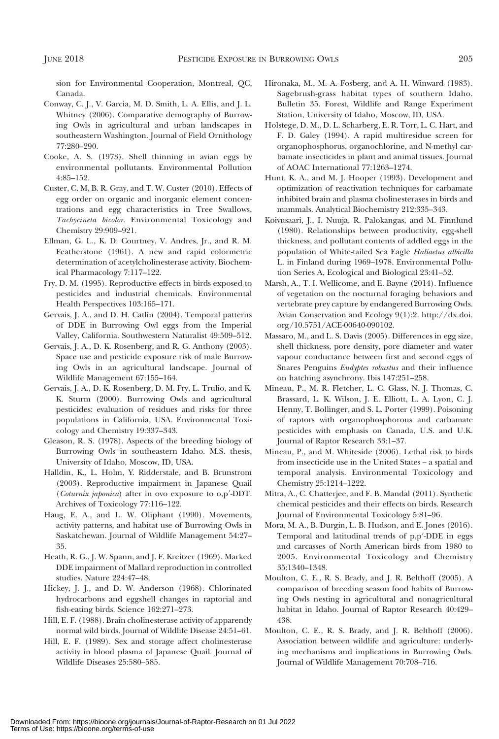sion for Environmental Cooperation, Montreal, QC, Canada.

- Conway, C. J., V. Garcia, M. D. Smith, L. A. Ellis, and J. L. Whitney (2006). Comparative demography of Burrowing Owls in agricultural and urban landscapes in southeastern Washington. Journal of Field Ornithology 77:280–290.
- Cooke, A. S. (1973). Shell thinning in avian eggs by environmental pollutants. Environmental Pollution  $4.85 - 159$
- Custer, C. M, B. R. Gray, and T. W. Custer (2010). Effects of egg order on organic and inorganic element concentrations and egg characteristics in Tree Swallows, Tachycineta bicolor. Environmental Toxicology and Chemistry 29:909–921.
- Ellman, G. L., K. D. Courtney, V. Andres, Jr., and R. M. Featherstone (1961). A new and rapid colormetric determination of acetylcholinesterase activity. Biochemical Pharmacology 7:117–122.
- Fry, D. M. (1995). Reproductive effects in birds exposed to pesticides and industrial chemicals. Environmental Health Perspectives 103:165–171.
- Gervais, J. A., and D. H. Catlin (2004). Temporal patterns of DDE in Burrowing Owl eggs from the Imperial Valley, California. Southwestern Naturalist 49:509–512.
- Gervais, J. A., D. K. Rosenberg, and R. G. Anthony (2003). Space use and pesticide exposure risk of male Burrowing Owls in an agricultural landscape. Journal of Wildlife Management 67:155–164.
- Gervais, J. A., D. K. Rosenberg, D. M. Fry, L. Trulio, and K. K. Sturm (2000). Burrowing Owls and agricultural pesticides: evaluation of residues and risks for three populations in California, USA. Environmental Toxicology and Chemistry 19:337–343.
- Gleason, R. S. (1978). Aspects of the breeding biology of Burrowing Owls in southeastern Idaho. M.S. thesis, University of Idaho, Moscow, ID, USA.
- Halldin, K., L. Holm, Y. Ridderstale, and B. Brunstrom (2003). Reproductive impairment in Japanese Quail (*Coturnix japonica*) after in ovo exposure to  $o, p'$ -DDT. Archives of Toxicology 77:116–122.
- Haug, E. A., and L. W. Oliphant (1990). Movements, activity patterns, and habitat use of Burrowing Owls in Saskatchewan. Journal of Wildlife Management 54:27– 35.
- Heath, R. G., J. W. Spann, and J. F. Kreitzer (1969). Marked DDE impairment of Mallard reproduction in controlled studies. Nature 224:47–48.
- Hickey, J. J., and D. W. Anderson (1968). Chlorinated hydrocarbons and eggshell changes in raptorial and fish-eating birds. Science 162:271–273.
- Hill, E. F. (1988). Brain cholinesterase activity of apparently normal wild birds. Journal of Wildlife Disease 24:51–61.
- Hill, E. F. (1989). Sex and storage affect cholinesterase activity in blood plasma of Japanese Quail. Journal of Wildlife Diseases 25:580–585.
- Hironaka, M., M. A. Fosberg, and A. H. Winward (1983). Sagebrush-grass habitat types of southern Idaho. Bulletin 35. Forest, Wildlife and Range Experiment Station, University of Idaho, Moscow, ID, USA.
- Holstege, D. M., D. L. Scharberg, E. R. Torr, L. C. Hart, and F. D. Galey (1994). A rapid multiresidue screen for organophosphorus, organochlorine, and N-methyl carbamate insecticides in plant and animal tissues. Journal of AOAC International 77:1263–1274.
- Hunt, K. A., and M. J. Hooper (1993). Development and optimization of reactivation techniques for carbamate inhibited brain and plasma cholinesterases in birds and mammals. Analytical Biochemistry 212:335–343.
- Koivusaari, J., I. Nuuja, R. Palokangas, and M. Finnlund (1980). Relationships between productivity, egg-shell thickness, and pollutant contents of addled eggs in the population of White-tailed Sea Eagle Haliaetus albicilla L. in Finland during 1969–1978. Environmental Pollution Series A, Ecological and Biological 23:41–52.
- Marsh, A., T. I. Wellicome, and E. Bayne (2014). Influence of vegetation on the nocturnal foraging behaviors and vertebrate prey capture by endangered Burrowing Owls. Avian Conservation and Ecology 9(1):2. http://dx.doi. org/10.5751/ACE-00640-090102.
- Massaro, M., and L. S. Davis (2005). Differences in egg size, shell thickness, pore density, pore diameter and water vapour conductance between first and second eggs of Snares Penguins Eudyptes robustus and their influence on hatching asynchrony. Ibis 147:251–258.
- Mineau, P., M. R. Fletcher, L. C. Glass, N. J. Thomas, C. Brassard, L. K. Wilson, J. E. Elliott, L. A. Lyon, C. J. Henny, T. Bollinger, and S. L. Porter (1999). Poisoning of raptors with organophosphorous and carbamate pesticides with emphasis on Canada, U.S. and U.K. Journal of Raptor Research 33:1–37.
- Mineau, P., and M. Whiteside (2006). Lethal risk to birds from insecticide use in the United States – a spatial and temporal analysis. Environmental Toxicology and Chemistry 25:1214–1222.
- Mitra, A., C. Chatterjee, and F. B. Mandal (2011). Synthetic chemical pesticides and their effects on birds. Research Journal of Environmental Toxicology 5:81–96.
- Mora, M. A., B. Durgin, L. B. Hudson, and E. Jones (2016). Temporal and latitudinal trends of p,p'-DDE in eggs and carcasses of North American birds from 1980 to 2005. Environmental Toxicology and Chemistry 35:1340–1348.
- Moulton, C. E., R. S. Brady, and J. R. Belthoff (2005). A comparison of breeding season food habits of Burrowing Owls nesting in agricultural and nonagricultural habitat in Idaho. Journal of Raptor Research 40:429– 438.
- Moulton, C. E., R. S. Brady, and J. R. Belthoff (2006). Association between wildlife and agriculture: underlying mechanisms and implications in Burrowing Owls. Journal of Wildlife Management 70:708–716.